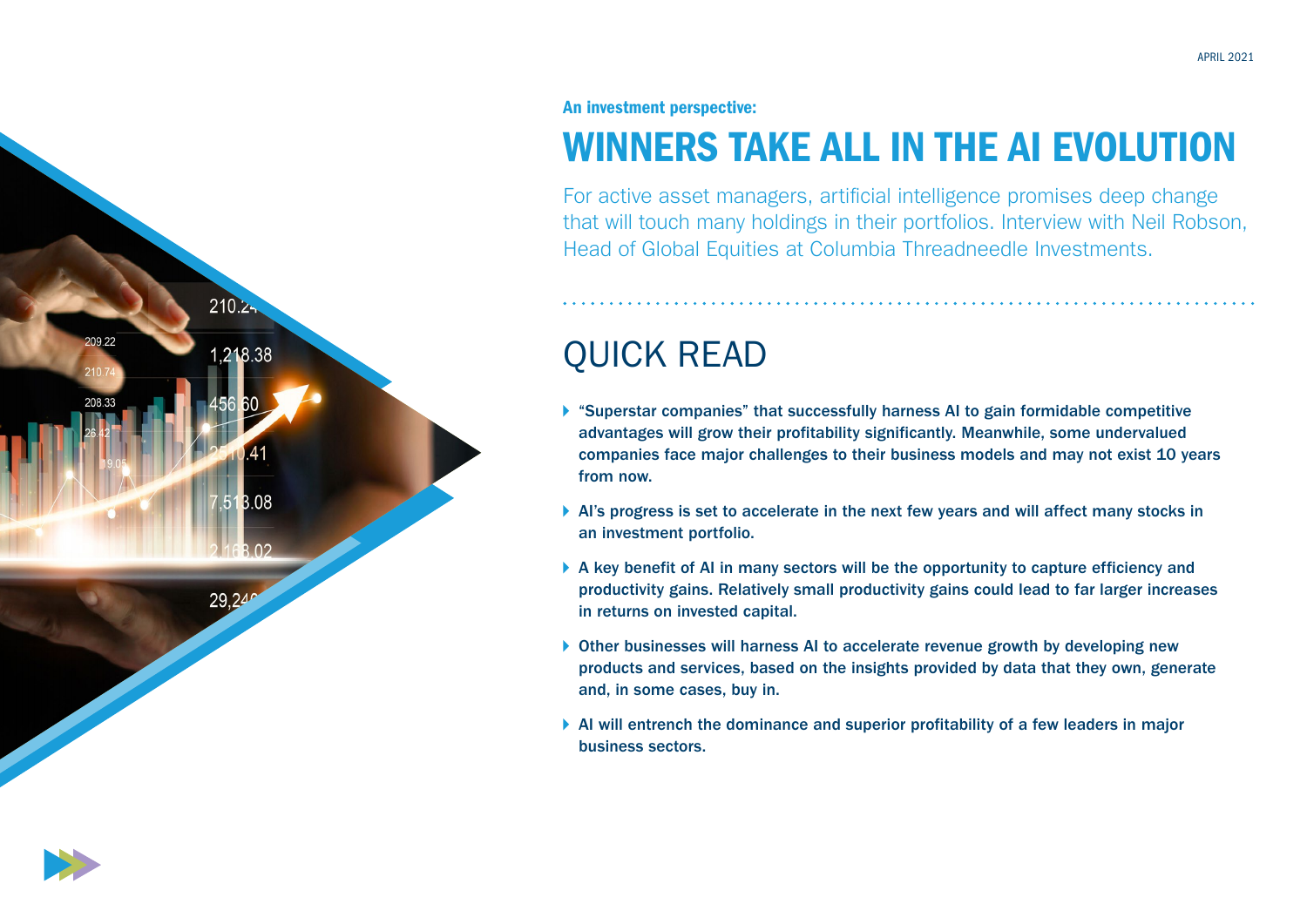

## An investment perspective:

# WINNERS TAKE ALL IN THE AI EVOLUTION

For active asset managers, artificial intelligence promises deep change that will touch many holdings in their portfolios. Interview with Neil Robson, Head of Global Equities at Columbia Threadneedle Investments.

# QUICK READ

- "Superstar companies" that successfully harness AI to gain formidable competitive advantages will grow their profitability significantly. Meanwhile, some undervalued companies face major challenges to their business models and may not exist 10 years from now.
- AI's progress is set to accelerate in the next few years and will affect many stocks in an investment portfolio.
- $\triangleright$  A key benefit of AI in many sectors will be the opportunity to capture efficiency and productivity gains. Relatively small productivity gains could lead to far larger increases in returns on invested capital.
- ▶ Other businesses will harness AI to accelerate revenue growth by developing new products and services, based on the insights provided by data that they own, generate and, in some cases, buy in.
- $\blacktriangleright$  AI will entrench the dominance and superior profitability of a few leaders in major business sectors.

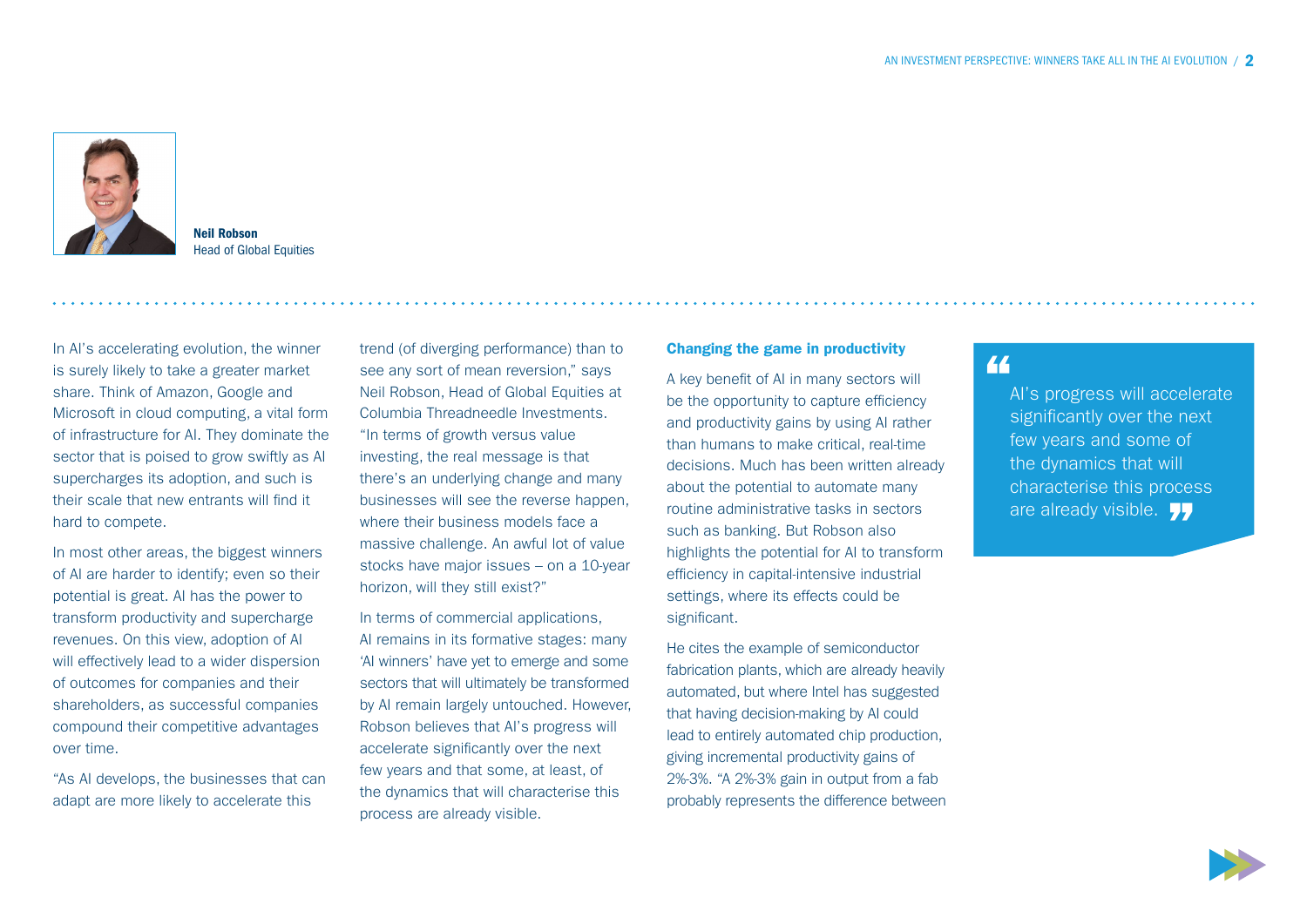

Neil Robson Head of Global Equities

In AI's accelerating evolution, the winner is surely likely to take a greater market share. Think of Amazon, Google and Microsoft in cloud computing, a vital form of infrastructure for AI. They dominate the sector that is poised to grow swiftly as AI supercharges its adoption, and such is their scale that new entrants will find it hard to compete.

In most other areas, the biggest winners of AI are harder to identify; even so their potential is great. AI has the power to transform productivity and supercharge revenues. On this view, adoption of AI will effectively lead to a wider dispersion of outcomes for companies and their shareholders, as successful companies compound their competitive advantages over time.

"As AI develops, the businesses that can adapt are more likely to accelerate this

trend (of diverging performance) than to see any sort of mean reversion," says Neil Robson, Head of Global Equities at Columbia Threadneedle Investments. "In terms of growth versus value investing, the real message is that there's an underlying change and many businesses will see the reverse happen, where their business models face a massive challenge. An awful lot of value stocks have major issues – on a 10-year horizon, will they still exist?"

In terms of commercial applications, AI remains in its formative stages: many 'AI winners' have yet to emerge and some sectors that will ultimately be transformed by AI remain largely untouched. However, Robson believes that AI's progress will accelerate significantly over the next few years and that some, at least, of the dynamics that will characterise this process are already visible.

### Changing the game in productivity

A key benefit of AI in many sectors will be the opportunity to capture efficiency and productivity gains by using AI rather than humans to make critical, real-time decisions. Much has been written already about the potential to automate many routine administrative tasks in sectors such as banking. But Robson also highlights the potential for AI to transform efficiency in capital-intensive industrial settings, where its effects could be significant.

He cites the example of semiconductor fabrication plants, which are already heavily automated, but where Intel has suggested that having decision-making by AI could lead to entirely automated chip production, giving incremental productivity gains of 2%-3%. "A 2%-3% gain in output from a fab probably represents the difference between

# "

AI's progress will accelerate significantly over the next few years and some of the dynamics that will characterise this process are already visible. 77

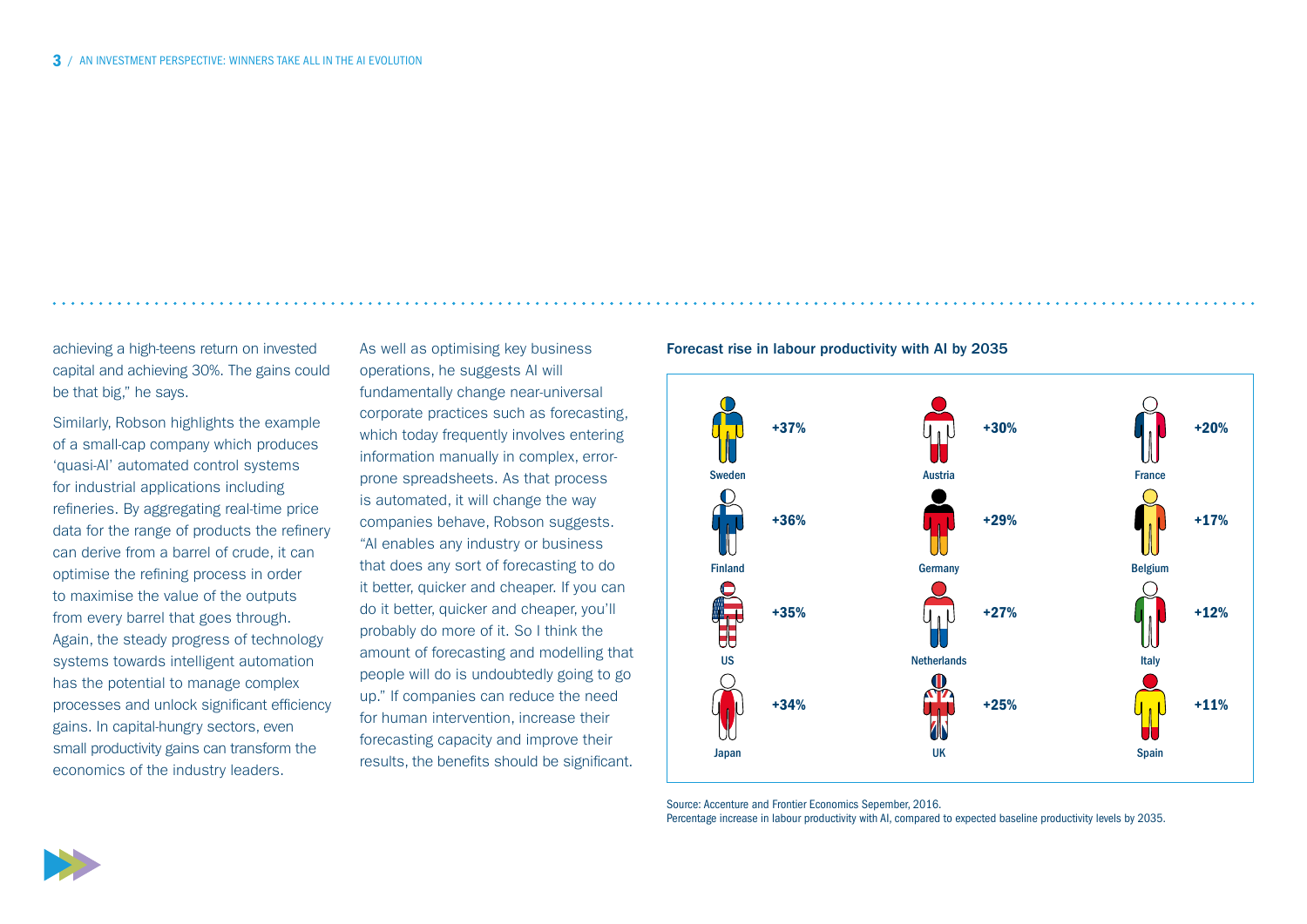achieving a high-teens return on invested capital and achieving 30%. The gains could be that big," he says.

Similarly, Robson highlights the example of a small-cap company which produces 'quasi-AI' automated control systems for industrial applications including refineries. By aggregating real-time price data for the range of products the refinery can derive from a barrel of crude, it can optimise the refining process in order to maximise the value of the outputs from every barrel that goes through. Again, the steady progress of technology systems towards intelligent automation has the potential to manage complex processes and unlock significant efficiency gains. In capital-hungry sectors, even small productivity gains can transform the economics of the industry leaders.

As well as optimising key business operations, he suggests AI will fundamentally change near-universal corporate practices such as forecasting, which today frequently involves entering information manually in complex, errorprone spreadsheets. As that process is automated, it will change the way companies behave, Robson suggests. "AI enables any industry or business that does any sort of forecasting to do it better, quicker and cheaper. If you can do it better, quicker and cheaper, you'll probably do more of it. So I think the amount of forecasting and modelling that people will do is undoubtedly going to go up." If companies can reduce the need for human intervention, increase their forecasting capacity and improve their results, the benefits should be significant.

#### Forecast rise in labour productivity with AI by 2035



Source: Accenture and Frontier Economics Sepember, 2016.

Percentage increase in labour productivity with AI, compared to expected baseline productivity levels by 2035.

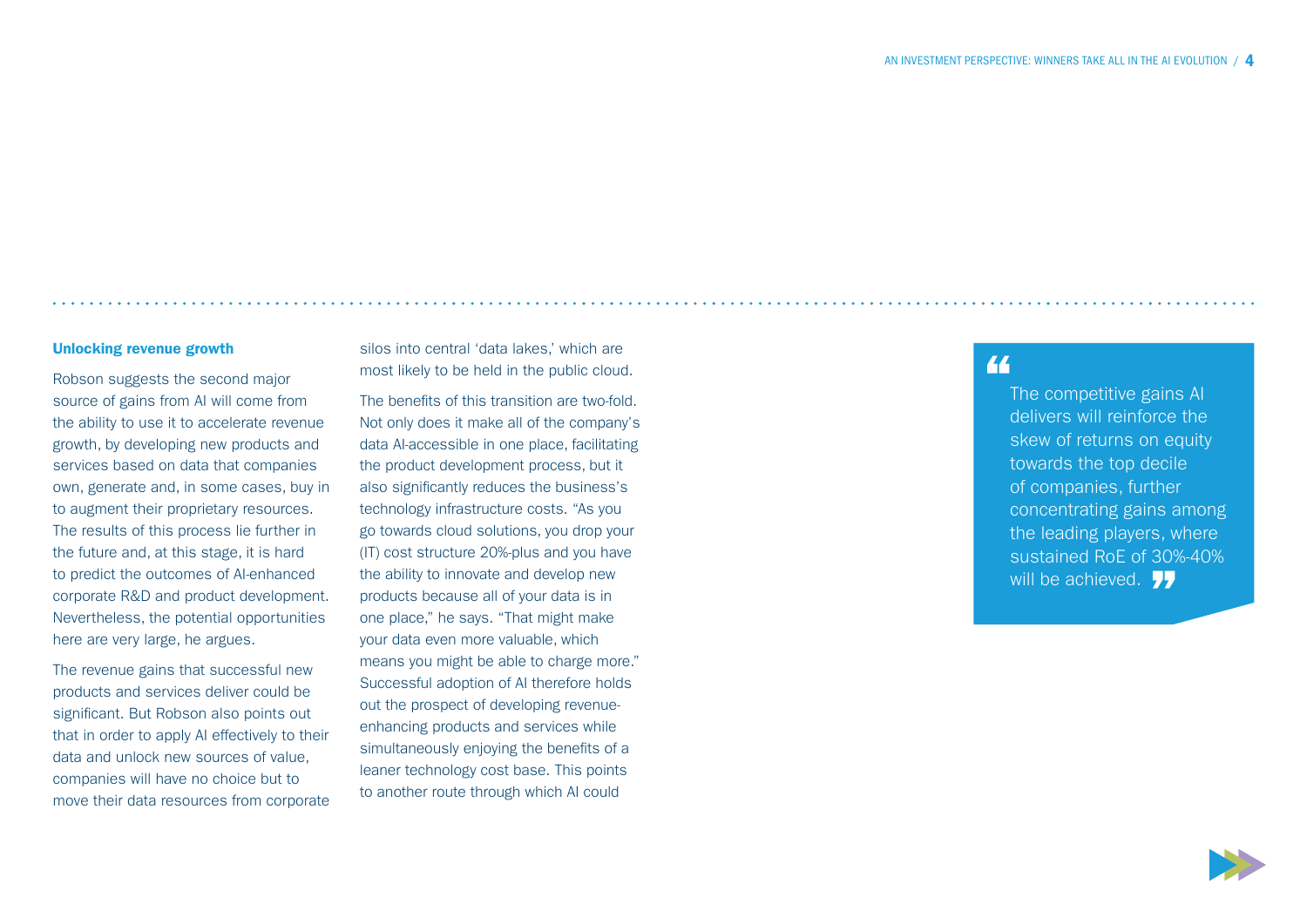#### Unlocking revenue growth

Robson suggests the second major source of gains from AI will come from the ability to use it to accelerate revenue growth, by developing new products and services based on data that companies own, generate and, in some cases, buy in to augment their proprietary resources. The results of this process lie further in the future and, at this stage, it is hard to predict the outcomes of AI-enhanced corporate R&D and product development. Nevertheless, the potential opportunities here are very large, he argues.

The revenue gains that successful new products and services deliver could be significant. But Robson also points out that in order to apply AI effectively to their data and unlock new sources of value, companies will have no choice but to move their data resources from corporate silos into central 'data lakes,' which are most likely to be held in the public cloud.

The benefits of this transition are two-fold. Not only does it make all of the company's data AI-accessible in one place, facilitating the product development process, but it also significantly reduces the business's technology infrastructure costs. "As you go towards cloud solutions, you drop your (IT) cost structure 20%-plus and you have the ability to innovate and develop new products because all of your data is in one place," he says. "That might make your data even more valuable, which means you might be able to charge more." Successful adoption of AI therefore holds out the prospect of developing revenueenhancing products and services while simultaneously enjoying the benefits of a leaner technology cost base. This points to another route through which AI could

## "

The competitive gains AI delivers will reinforce the skew of returns on equity towards the top decile of companies, further concentrating gains among the leading players, where sustained RoE of 30%-40% will be achieved. 77

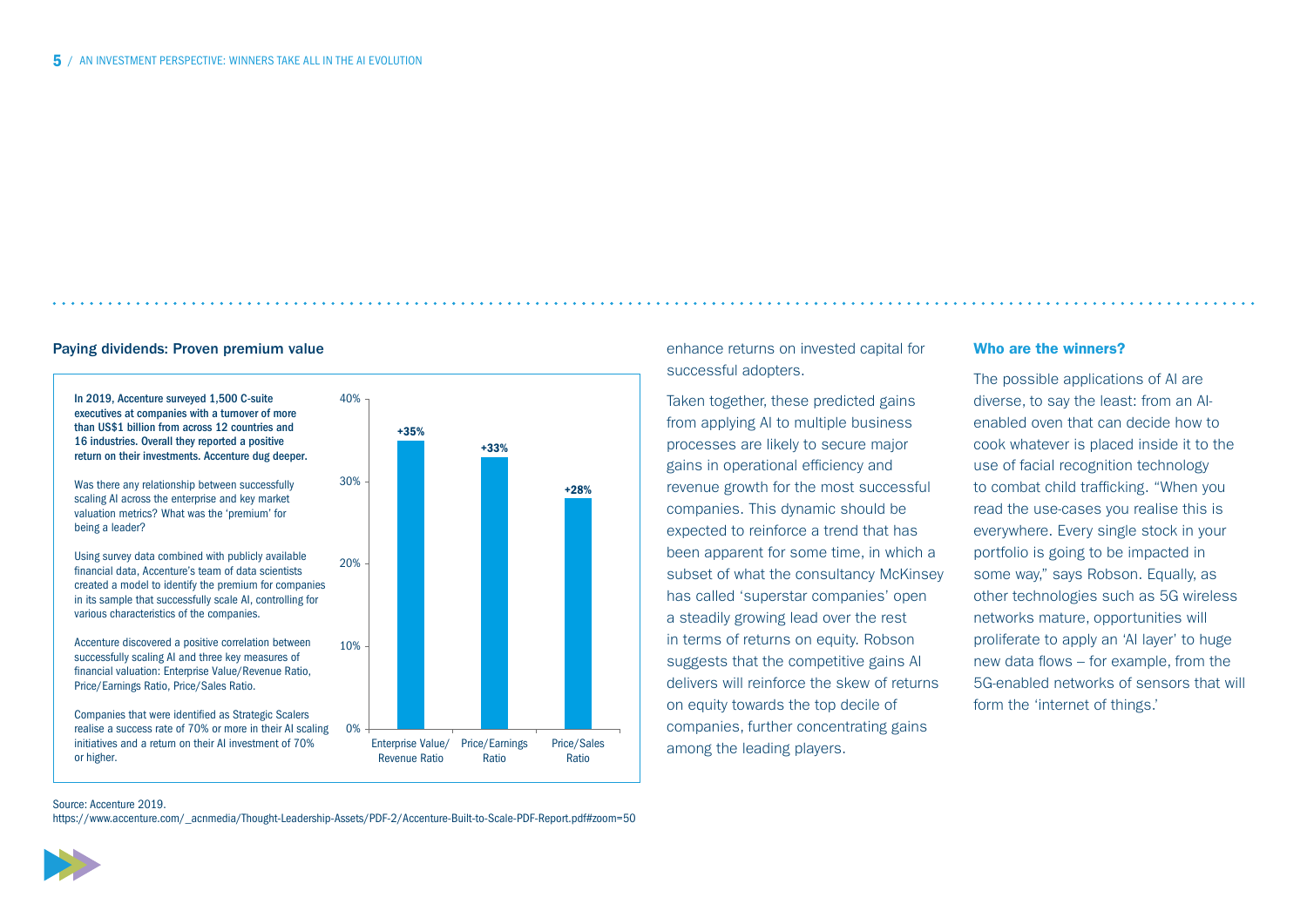#### Paying dividends: Proven premium value



enhance returns on invested capital for successful adopters.

Taken together, these predicted gains from applying AI to multiple business processes are likely to secure major gains in operational efficiency and revenue growth for the most successful companies. This dynamic should be expected to reinforce a trend that has been apparent for some time, in which a subset of what the consultancy McKinsey has called 'superstar companies' open a steadily growing lead over the rest in terms of returns on equity. Robson suggests that the competitive gains AI delivers will reinforce the skew of returns on equity towards the top decile of companies, further concentrating gains among the leading players.

### Who are the winners?

The possible applications of AI are diverse, to say the least: from an AIenabled oven that can decide how to cook whatever is placed inside it to the use of facial recognition technology to combat child trafficking. "When you read the use-cases you realise this is everywhere. Every single stock in your portfolio is going to be impacted in some way," says Robson, Equally, as other technologies such as 5G wireless networks mature, opportunities will proliferate to apply an 'AI layer' to huge new data flows – for example, from the 5G-enabled networks of sensors that will form the 'internet of things.'

Source: Accenture 2019.

[https://www.accenture.com/\\_acnmedia/Thought-Leadership-Assets/PDF-2/Accenture-Built-to-Scale-PDF-Report.pdf#zoom=50](https://www.accenture.com/_acnmedia/Thought-Leadership-Assets/PDF-2/Accenture-Built-to-Scale-PDF-Report.pdf#zoom=50)

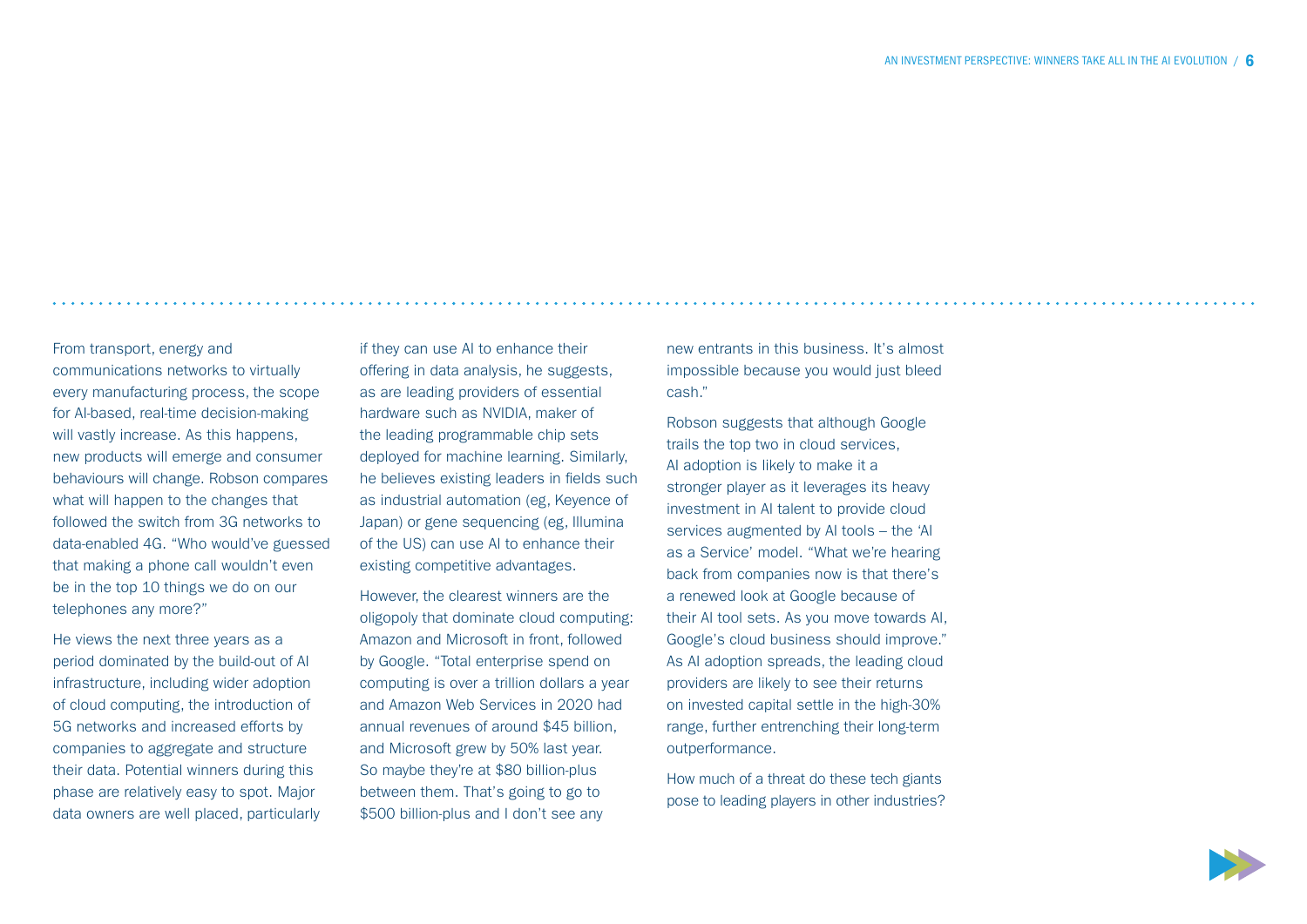From transport, energy and communications networks to virtually every manufacturing process, the scope for AI-based, real-time decision-making will vastly increase. As this happens, new products will emerge and consumer behaviours will change. Robson compares what will happen to the changes that followed the switch from 3G networks to data-enabled 4G. "Who would've guessed that making a phone call wouldn't even be in the top 10 things we do on our telephones any more?"

He views the next three years as a period dominated by the build-out of AI infrastructure, including wider adoption of cloud computing, the introduction of 5G networks and increased efforts by companies to aggregate and structure their data. Potential winners during this phase are relatively easy to spot. Major data owners are well placed, particularly if they can use AI to enhance their offering in data analysis, he suggests, as are leading providers of essential hardware such as NVIDIA, maker of the leading programmable chip sets deployed for machine learning. Similarly, he believes existing leaders in fields such as industrial automation (eg, Keyence of Japan) or gene sequencing (eg, Illumina of the US) can use AI to enhance their existing competitive advantages.

However, the clearest winners are the oligopoly that dominate cloud computing: Amazon and Microsoft in front, followed by Google. "Total enterprise spend on computing is over a trillion dollars a year and Amazon Web Services in 2020 had annual revenues of around \$45 billion, and Microsoft grew by 50% last year. So maybe they're at \$80 billion-plus between them. That's going to go to \$500 billion-plus and I don't see any

new entrants in this business. It's almost impossible because you would just bleed cash."

Robson suggests that although Google trails the top two in cloud services, AI adoption is likely to make it a stronger player as it leverages its heavy investment in AI talent to provide cloud services augmented by AI tools – the 'AI as a Service' model. "What we're hearing back from companies now is that there's a renewed look at Google because of their AI tool sets. As you move towards AI, Google's cloud business should improve." As AI adoption spreads, the leading cloud providers are likely to see their returns on invested capital settle in the high-30% range, further entrenching their long-term outperformance.

How much of a threat do these tech giants pose to leading players in other industries?

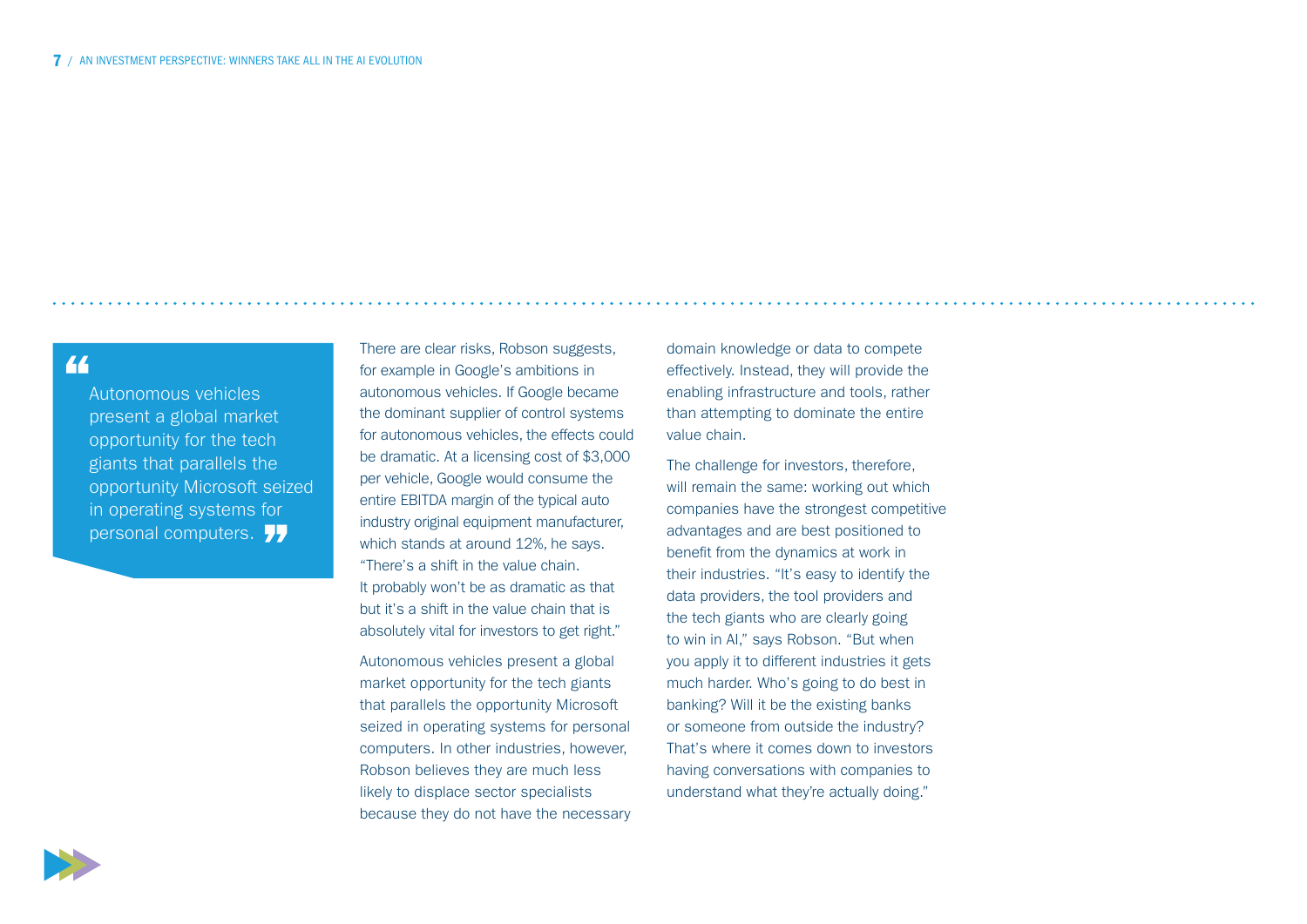## "

Autonomous vehicles present a global market opportunity for the tech giants that parallels the opportunity Microsoft seized in operating systems for personal computers. 77

There are clear risks, Robson suggests, for example in Google's ambitions in autonomous vehicles. If Google became the dominant supplier of control systems for autonomous vehicles, the effects could be dramatic. At a licensing cost of \$3,000 per vehicle, Google would consume the entire EBITDA margin of the typical auto industry original equipment manufacturer, which stands at around 12%, he says. "There's a shift in the value chain. It probably won't be as dramatic as that but it's a shift in the value chain that is absolutely vital for investors to get right."

Autonomous vehicles present a global market opportunity for the tech giants that parallels the opportunity Microsoft seized in operating systems for personal computers. In other industries, however, Robson believes they are much less likely to displace sector specialists because they do not have the necessary domain knowledge or data to compete effectively. Instead, they will provide the enabling infrastructure and tools, rather than attempting to dominate the entire value chain.

The challenge for investors, therefore, will remain the same: working out which companies have the strongest competitive advantages and are best positioned to benefit from the dynamics at work in their industries. "It's easy to identify the data providers, the tool providers and the tech giants who are clearly going to win in AI," says Robson. "But when you apply it to different industries it gets much harder. Who's going to do best in banking? Will it be the existing banks or someone from outside the industry? That's where it comes down to investors having conversations with companies to understand what they're actually doing."

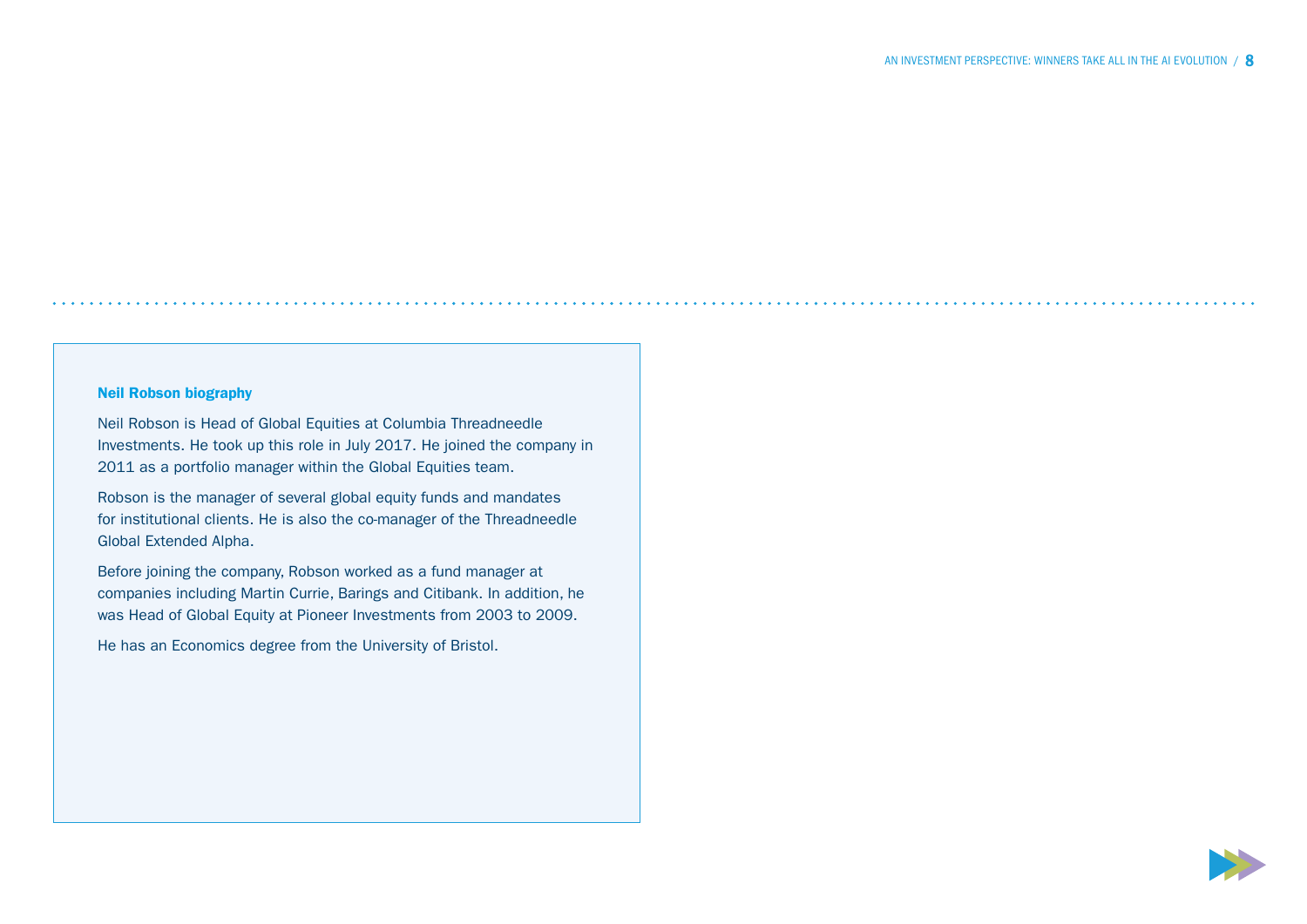### Neil Robson biography

Neil Robson is Head of Global Equities at Columbia Threadneedle Investments. He took up this role in July 2017. He joined the company in 2011 as a portfolio manager within the Global Equities team.

Robson is the manager of several global equity funds and mandates for institutional clients. He is also the co-manager of the Threadneedle Global Extended Alpha.

Before joining the company, Robson worked as a fund manager at companies including Martin Currie, Barings and Citibank. In addition, he was Head of Global Equity at Pioneer Investments from 2003 to 2009.

He has an Economics degree from the University of Bristol.